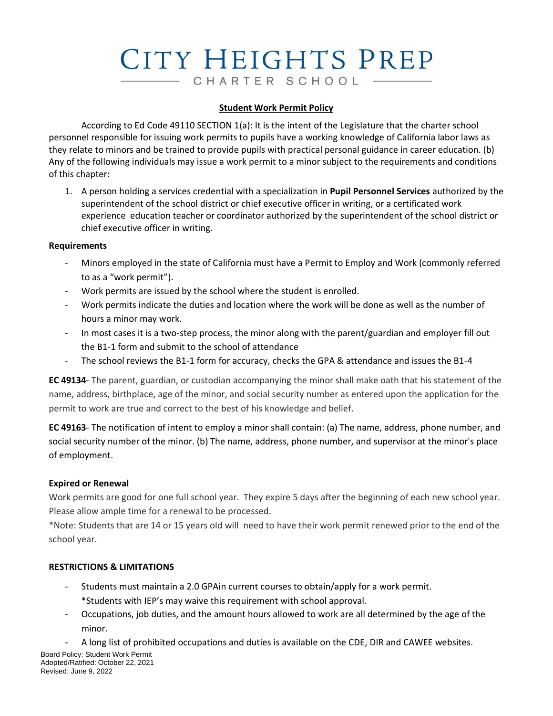# CITY HEIGHTS PREP CHARTER SCHOOL

#### **Student Work Permit Policy**

According to Ed Code 49110 SECTION 1(a): It is the intent of the Legislature that the charter school personnel responsible for issuing work permits to pupils have a working knowledge of California labor laws as they relate to minors and be trained to provide pupils with practical personal guidance in career education. (b) Any of the following individuals may issue a work permit to a minor subject to the requirements and conditions of this chapter:

1. A person holding a services credential with a specialization in **Pupil Personnel Services** authorized by the superintendent of the school district or chief executive officer in writing, or a certificated work experience education teacher or coordinator authorized by the superintendent of the school district or chief executive officer in writing.

#### **Requirements**

- Minors employed in the state of California must have a Permit to Employ and Work (commonly referred to as a "work permit").
- Work permits are issued by the school where the student is enrolled.
- Work permits indicate the duties and location where the work will be done as well as the number of hours a minor may work.
- In most cases it is a two-step process, the minor along with the parent/guardian and employer fill out the B1-1 form and submit to the school of attendance
- The school reviews the B1-1 form for accuracy, checks the GPA & attendance and issues the B1-4

**EC 49134**- The parent, guardian, or custodian accompanying the minor shall make oath that his statement of the name, address, birthplace, age of the minor, and social security number as entered upon the application for the permit to work are true and correct to the best of his knowledge and belief.

**EC 49163**- The notification of intent to employ a minor shall contain: (a) The name, address, phone number, and social security number of the minor. (b) The name, address, phone number, and supervisor at the minor's place of employment.

## **Expired or Renewal**

Work permits are good for one full school year. They expire 5 days after the beginning of each new school year. Please allow ample time for a renewal to be processed.

\*Note: Students that are 14 or 15 years old will need to have their work permit renewed prior to the end of the school year.

## **RESTRICTIONS & LIMITATIONS**

- Students must maintain a 2.0 GPAin current courses to obtain/apply for a work permit. \*Students with IEP's may waive this requirement with school approval.
- Occupations, job duties, and the amount hours allowed to work are all determined by the age of the minor.
	- A long list of prohibited occupations and duties is available on the CDE, DIR and CAWEE websites.